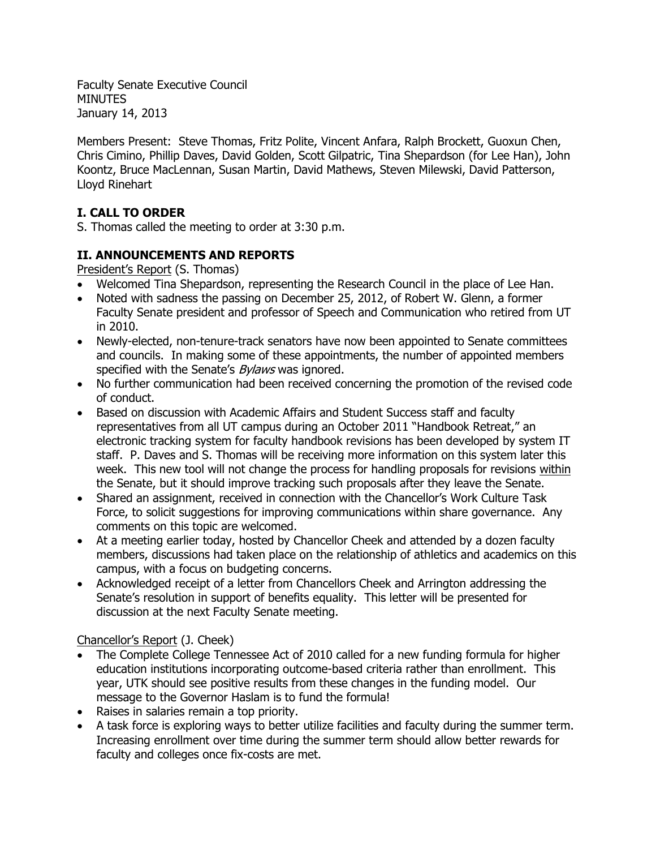Faculty Senate Executive Council **MINUTES** January 14, 2013

Members Present: Steve Thomas, Fritz Polite, Vincent Anfara, Ralph Brockett, Guoxun Chen, Chris Cimino, Phillip Daves, David Golden, Scott Gilpatric, Tina Shepardson (for Lee Han), John Koontz, Bruce MacLennan, Susan Martin, David Mathews, Steven Milewski, David Patterson, Lloyd Rinehart

# **I. CALL TO ORDER**

S. Thomas called the meeting to order at 3:30 p.m.

## **II. ANNOUNCEMENTS AND REPORTS**

President's Report (S. Thomas)

- Welcomed Tina Shepardson, representing the Research Council in the place of Lee Han.
- Noted with sadness the passing on December 25, 2012, of Robert W. Glenn, a former Faculty Senate president and professor of Speech and Communication who retired from UT in 2010.
- Newly-elected, non-tenure-track senators have now been appointed to Senate committees and councils. In making some of these appointments, the number of appointed members specified with the Senate's *Bylaws* was ignored.
- No further communication had been received concerning the promotion of the revised code of conduct.
- Based on discussion with Academic Affairs and Student Success staff and faculty representatives from all UT campus during an October 2011 "Handbook Retreat," an electronic tracking system for faculty handbook revisions has been developed by system IT staff. P. Daves and S. Thomas will be receiving more information on this system later this week. This new tool will not change the process for handling proposals for revisions within the Senate, but it should improve tracking such proposals after they leave the Senate.
- Shared an assignment, received in connection with the Chancellor's Work Culture Task Force, to solicit suggestions for improving communications within share governance. Any comments on this topic are welcomed.
- At a meeting earlier today, hosted by Chancellor Cheek and attended by a dozen faculty members, discussions had taken place on the relationship of athletics and academics on this campus, with a focus on budgeting concerns.
- Acknowledged receipt of a letter from Chancellors Cheek and Arrington addressing the Senate's resolution in support of benefits equality. This letter will be presented for discussion at the next Faculty Senate meeting.

## Chancellor's Report (J. Cheek)

- The Complete College Tennessee Act of 2010 called for a new funding formula for higher education institutions incorporating outcome-based criteria rather than enrollment. This year, UTK should see positive results from these changes in the funding model. Our message to the Governor Haslam is to fund the formula!
- Raises in salaries remain a top priority.
- A task force is exploring ways to better utilize facilities and faculty during the summer term. Increasing enrollment over time during the summer term should allow better rewards for faculty and colleges once fix-costs are met.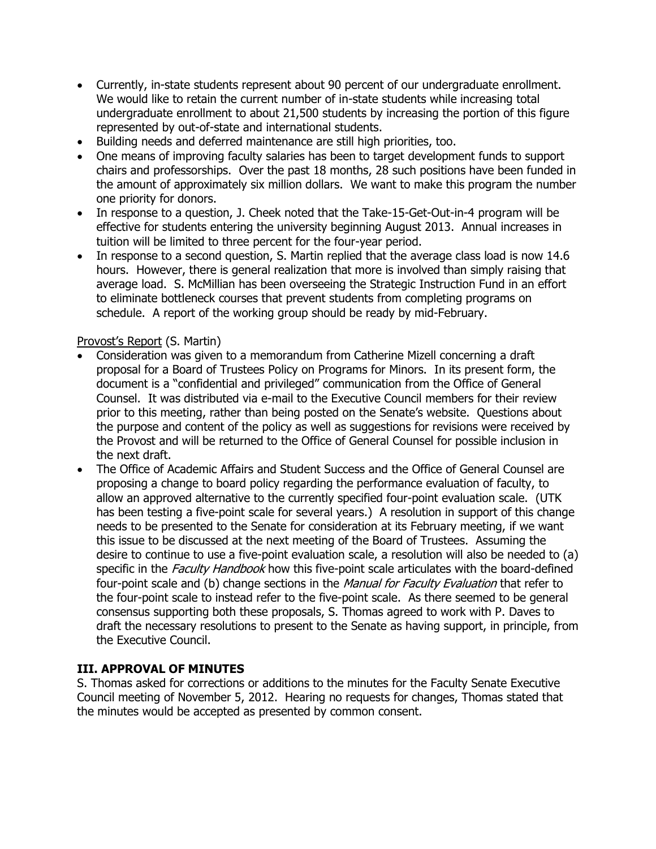- Currently, in-state students represent about 90 percent of our undergraduate enrollment. We would like to retain the current number of in-state students while increasing total undergraduate enrollment to about 21,500 students by increasing the portion of this figure represented by out-of-state and international students.
- Building needs and deferred maintenance are still high priorities, too.
- One means of improving faculty salaries has been to target development funds to support chairs and professorships. Over the past 18 months, 28 such positions have been funded in the amount of approximately six million dollars. We want to make this program the number one priority for donors.
- In response to a question, J. Cheek noted that the Take-15-Get-Out-in-4 program will be effective for students entering the university beginning August 2013. Annual increases in tuition will be limited to three percent for the four-year period.
- In response to a second question, S. Martin replied that the average class load is now 14.6 hours. However, there is general realization that more is involved than simply raising that average load. S. McMillian has been overseeing the Strategic Instruction Fund in an effort to eliminate bottleneck courses that prevent students from completing programs on schedule. A report of the working group should be ready by mid-February.

## Provost's Report (S. Martin)

- Consideration was given to a memorandum from Catherine Mizell concerning a draft proposal for a Board of Trustees Policy on Programs for Minors. In its present form, the document is a "confidential and privileged" communication from the Office of General Counsel. It was distributed via e-mail to the Executive Council members for their review prior to this meeting, rather than being posted on the Senate's website. Questions about the purpose and content of the policy as well as suggestions for revisions were received by the Provost and will be returned to the Office of General Counsel for possible inclusion in the next draft.
- The Office of Academic Affairs and Student Success and the Office of General Counsel are proposing a change to board policy regarding the performance evaluation of faculty, to allow an approved alternative to the currently specified four-point evaluation scale. (UTK has been testing a five-point scale for several years.) A resolution in support of this change needs to be presented to the Senate for consideration at its February meeting, if we want this issue to be discussed at the next meeting of the Board of Trustees. Assuming the desire to continue to use a five-point evaluation scale, a resolution will also be needed to (a) specific in the *Faculty Handbook* how this five-point scale articulates with the board-defined four-point scale and (b) change sections in the Manual for Faculty Evaluation that refer to the four-point scale to instead refer to the five-point scale. As there seemed to be general consensus supporting both these proposals, S. Thomas agreed to work with P. Daves to draft the necessary resolutions to present to the Senate as having support, in principle, from the Executive Council.

## **III. APPROVAL OF MINUTES**

S. Thomas asked for corrections or additions to the minutes for the Faculty Senate Executive Council meeting of November 5, 2012. Hearing no requests for changes, Thomas stated that the minutes would be accepted as presented by common consent.